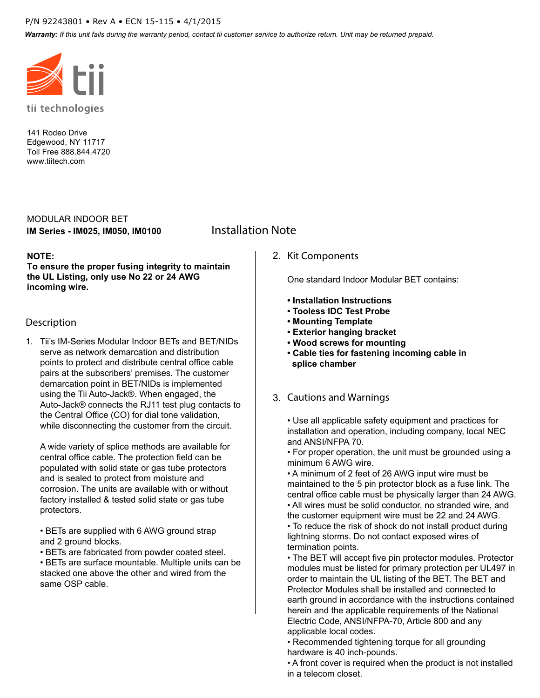## P/N 92243801 • Rev A • ECN 15-115 • 4/1/2015

Warranty: If this unit fails during the warranty period, contact tii customer service to authorize return. Unit may be returned prepaid.



141 Rodeo Drive Edgewood, NY 11717 Toll Free 888.844.4720 www.tiitech.com

## **IM Series - IM025, IM050, IM0100** MODULAR INDOOR BET

# **Installation Note**

## **NOTE:**

**To ensure the proper fusing integrity to maintain the UL Listing, only use No 22 or 24 AWG incoming wire.**

## **Description**

1. Tii's IM-Series Modular Indoor BETs and BET/NIDs serve as network demarcation and distribution points to protect and distribute central office cable pairs at the subscribers' premises. The customer demarcation point in BET/NIDs is implemented using the Tii Auto-Jack®. When engaged, the Auto-Jack® connects the RJ11 test plug contacts to the Central Office (CO) for dial tone validation, while disconnecting the customer from the circuit.

A wide variety of splice methods are available for central office cable. The protection field can be populated with solid state or gas tube protectors and is sealed to protect from moisture and corrosion. The units are available with or without factory installed & tested solid state or gas tube protectors.

• BETs are supplied with 6 AWG ground strap and 2 ground blocks.

• BETs are fabricated from powder coated steel.

• BETs are surface mountable. Multiple units can be stacked one above the other and wired from the same OSP cable.

2. **Kit Components**

One standard Indoor Modular BET contains:

- **Installation Instructions**
- **Tooless IDC Test Probe**
- **Mounting Template**
- **Exterior hanging bracket**
- **Wood screws for mounting**
- **Cable ties for fastening incoming cable in splice chamber**

## 3. **Cautions and Warnings**

• Use all applicable safety equipment and practices for installation and operation, including company, local NEC and ANSI/NFPA 70.

• For proper operation, the unit must be grounded using a minimum 6 AWG wire.

• A minimum of 2 feet of 26 AWG input wire must be maintained to the 5 pin protector block as a fuse link. The central office cable must be physically larger than 24 AWG. • All wires must be solid conductor, no stranded wire, and the customer equipment wire must be 22 and 24 AWG.

• To reduce the risk of shock do not install product during lightning storms. Do not contact exposed wires of termination points.

• The BET will accept five pin protector modules. Protector modules must be listed for primary protection per UL497 in order to maintain the UL listing of the BET. The BET and Protector Modules shall be installed and connected to earth ground in accordance with the instructions contained herein and the applicable requirements of the National Electric Code, ANSI/NFPA-70, Article 800 and any applicable local codes.

• Recommended tightening torque for all grounding hardware is 40 inch-pounds.

• A front cover is required when the product is not installed in a telecom closet.